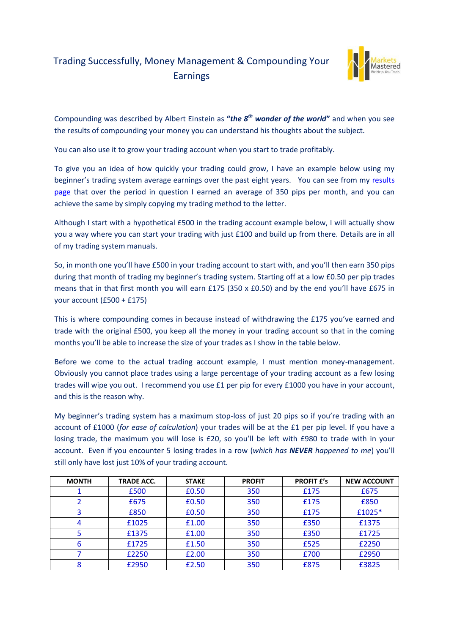## Trading Successfully, Money Management & Compounding Your Earnings



Compounding was described by Albert Einstein as **"***the 8th wonder of the world***"** and when you see the results of compounding your money you can understand his thoughts about the subject.

You can also use it to grow your trading account when you start to trade profitably.

To give you an idea of how quickly your trading could grow, I have an example below using my beginner's trading system average earnings over the past eight years. You can see from my [results](http://www.marketsmastered.com/results)  [page](http://www.marketsmastered.com/results) that over the period in question I earned an average of 350 pips per month, and you can achieve the same by simply copying my trading method to the letter.

Although I start with a hypothetical £500 in the trading account example below, I will actually show you a way where you can start your trading with just £100 and build up from there. Details are in all of my trading system manuals.

So, in month one you'll have £500 in your trading account to start with, and you'll then earn 350 pips during that month of trading my beginner's trading system. Starting off at a low £0.50 per pip trades means that in that first month you will earn £175 (350 x £0.50) and by the end you'll have £675 in your account (£500 + £175)

This is where compounding comes in because instead of withdrawing the £175 you've earned and trade with the original £500, you keep all the money in your trading account so that in the coming months you'll be able to increase the size of your trades as I show in the table below.

Before we come to the actual trading account example, I must mention money-management. Obviously you cannot place trades using a large percentage of your trading account as a few losing trades will wipe you out. I recommend you use £1 per pip for every £1000 you have in your account, and this is the reason why.

My beginner's trading system has a maximum stop-loss of just 20 pips so if you're trading with an account of £1000 (*for ease of calculation*) your trades will be at the £1 per pip level. If you have a losing trade, the maximum you will lose is £20, so you'll be left with £980 to trade with in your account. Even if you encounter 5 losing trades in a row (*which has NEVER happened to me*) you'll still only have lost just 10% of your trading account.

| <b>MONTH</b> | <b>TRADE ACC.</b> | <b>STAKE</b> | <b>PROFIT</b> | <b>PROFIT £'s</b> | <b>NEW ACCOUNT</b> |
|--------------|-------------------|--------------|---------------|-------------------|--------------------|
|              | £500              | £0.50        | 350           | £175              | £675               |
|              | £675              | £0.50        | 350           | £175              | £850               |
|              | £850              | £0.50        | 350           | £175              | £1025*             |
|              | £1025             | £1.00        | 350           | £350              | £1375              |
|              | £1375             | £1.00        | 350           | £350              | £1725              |
| 6            | £1725             | £1.50        | 350           | £525              | £2250              |
|              | £2250             | £2.00        | 350           | £700              | £2950              |
|              | £2950             | £2.50        | 350           | £875              | £3825              |